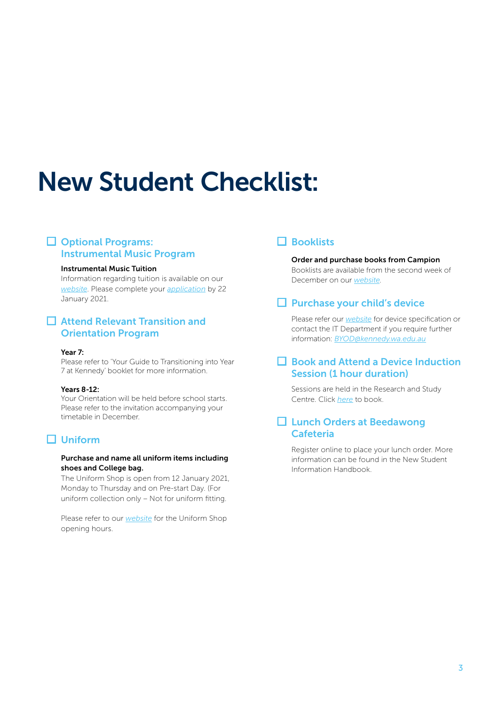# New Student Checklist:

## **□** Optional Programs: Instrumental Music Program

#### Instrumental Music Tuition

Information regarding tuition is available on our *[website](https://www.kennedy.wa.edu.au/life-at-kennedy/instrumental-music-program/)*. Please complete your *[application](https://www.kennedy.wa.edu.au/life-at-kennedy/instrumental-music-program/instrumental-music-program-application-form/)* by 22 January 2021.

## **□** Attend Relevant Transition and Orientation Program

#### Year 7:

Please refer to 'Your Guide to Transitioning into Year 7 at Kennedy' booklet for more information.

#### Years 8-12:

Your Orientation will be held before school starts. Please refer to the invitation accompanying your timetable in December.

# **□** Uniform

#### Purchase and name all uniform items including shoes and College bag.

The Uniform Shop is open from 12 January 2021, Monday to Thursday and on Pre-start Day. (For uniform collection only – Not for uniform fitting.

Please refer to our *[website](https://www.kennedy.wa.edu.au/kennedy-community/parent-information/uniforms/)* for the Uniform Shop opening hours.

# **□** Booklists

#### Order and purchase books from Campion

Booklists are available from the second week of December on our *[website](https://www.kennedy.wa.edu.au/kennedy-%20community/parent-information/book-lists/)*.

## **□** Purchase your child's device

Please refer our *[website](https://www.kennedy.wa.edu.au/kennedy-community/parent-information/bring-device-program/)* for device specification or contact the IT Department if you require further information: *[BYOD@kennedy.wa.edu.au](mailto:BYOD%40kennedy.wa.edu.au%20?subject=)*

# **□** Book and Attend a Device Induction Session (1 hour duration)

Sessions are held in the Research and Study Centre. Click *[here](https://www.schoolinterviews.com.au/code?code=axdbv)* to book.

## **□** Lunch Orders at Beedawong Cafeteria

Register online to place your lunch order. More information can be found in the New Student Information Handbook.